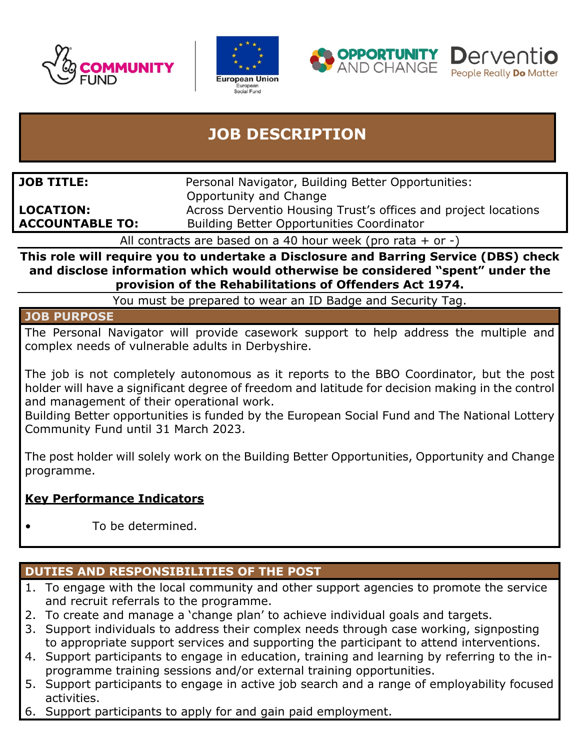







# **JOB DESCRIPTION**

| <b>JOB TITLE:</b>      | Personal Navigator, Building Better Opportunities:             |
|------------------------|----------------------------------------------------------------|
|                        | Opportunity and Change                                         |
| <b>LOCATION:</b>       | Across Derventio Housing Trust's offices and project locations |
| <b>ACCOUNTABLE TO:</b> | <b>Building Better Opportunities Coordinator</b>               |

All contracts are based on a 40 hour week (pro rata  $+$  or  $-$ )

**This role will require you to undertake a Disclosure and Barring Service (DBS) check and disclose information which would otherwise be considered "spent" under the provision of the Rehabilitations of Offenders Act 1974.**

You must be prepared to wear an ID Badge and Security Tag.

#### **JOB PURPOSE**

The Personal Navigator will provide casework support to help address the multiple and complex needs of vulnerable adults in Derbyshire.

The job is not completely autonomous as it reports to the BBO Coordinator, but the post holder will have a significant degree of freedom and latitude for decision making in the control and management of their operational work.

Building Better opportunities is funded by the European Social Fund and The National Lottery Community Fund until 31 March 2023.

The post holder will solely work on the Building Better Opportunities, Opportunity and Change programme.

### **Key Performance Indicators**

• To be determined.

### **DUTIES AND RESPONSIBILITIES OF THE POST**

- 1. To engage with the local community and other support agencies to promote the service and recruit referrals to the programme.
- 2. To create and manage a 'change plan' to achieve individual goals and targets.
- 3. Support individuals to address their complex needs through case working, signposting to appropriate support services and supporting the participant to attend interventions.
- 4. Support participants to engage in education, training and learning by referring to the inprogramme training sessions and/or external training opportunities.
- 5. Support participants to engage in active job search and a range of employability focused activities.
- 6. Support participants to apply for and gain paid employment.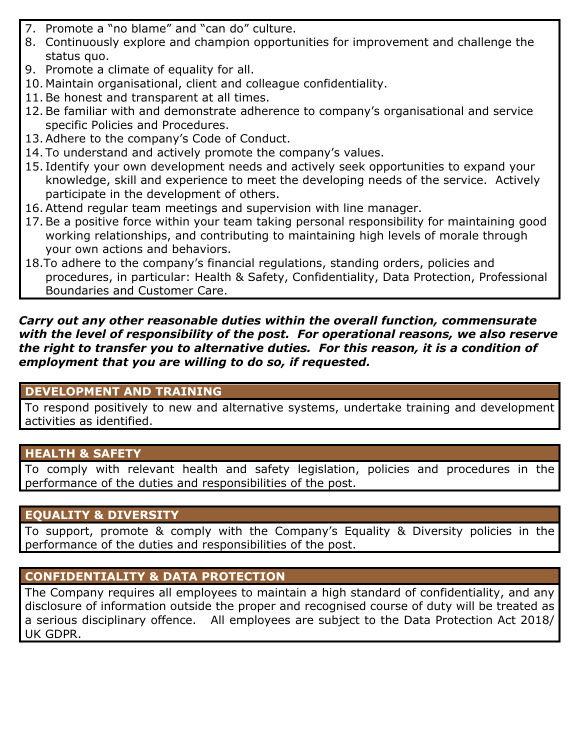- 7. Promote a "no blame" and "can do" culture.
- 8. Continuously explore and champion opportunities for improvement and challenge the status quo.
- 9. Promote a climate of equality for all.
- 10. Maintain organisational, client and colleague confidentiality.
- 11.Be honest and transparent at all times.
- 12.Be familiar with and demonstrate adherence to company's organisational and service specific Policies and Procedures.
- 13.Adhere to the company's Code of Conduct.
- 14. To understand and actively promote the company's values.
- 15. Identify your own development needs and actively seek opportunities to expand your knowledge, skill and experience to meet the developing needs of the service. Actively participate in the development of others.
- 16.Attend regular team meetings and supervision with line manager.
- 17.Be a positive force within your team taking personal responsibility for maintaining good working relationships, and contributing to maintaining high levels of morale through your own actions and behaviors.
- 18.To adhere to the company's financial regulations, standing orders, policies and procedures, in particular: Health & Safety, Confidentiality, Data Protection, Professional Boundaries and Customer Care.

#### *Carry out any other reasonable duties within the overall function, commensurate with the level of responsibility of the post. For operational reasons, we also reserve the right to transfer you to alternative duties. For this reason, it is a condition of employment that you are willing to do so, if requested.*

## **DEVELOPMENT AND TRAINING**

To respond positively to new and alternative systems, undertake training and development activities as identified.

# **HEALTH & SAFETY**

To comply with relevant health and safety legislation, policies and procedures in the performance of the duties and responsibilities of the post.

## **EQUALITY & DIVERSITY**

To support, promote & comply with the Company's Equality & Diversity policies in the performance of the duties and responsibilities of the post.

## **CONFIDENTIALITY & DATA PROTECTION**

The Company requires all employees to maintain a high standard of confidentiality, and any disclosure of information outside the proper and recognised course of duty will be treated as a serious disciplinary offence. All employees are subject to the Data Protection Act 2018/ UK GDPR.